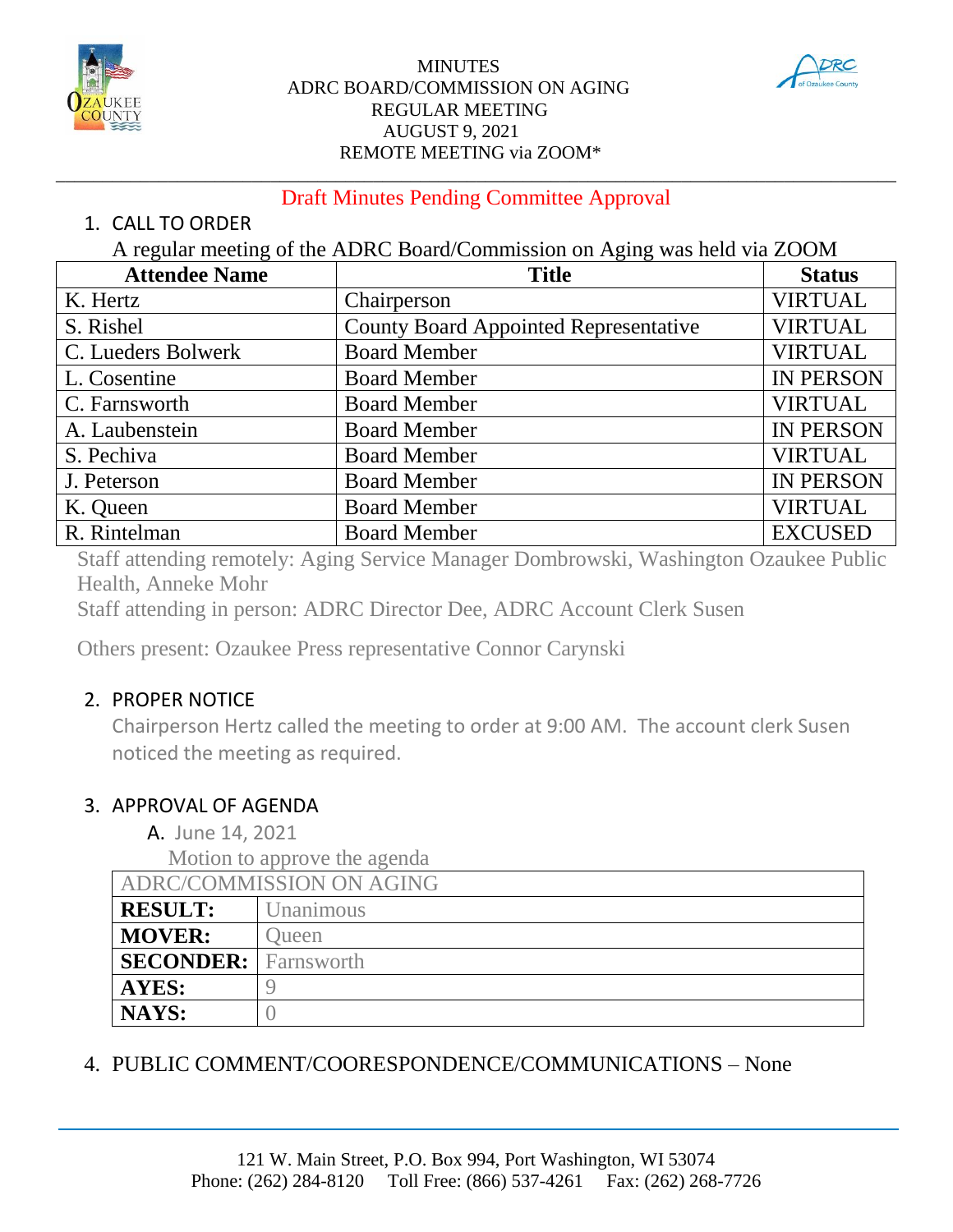

#### MINUTES ADRC BOARD/COMMISSION ON AGING REGULAR MEETING AUGUST 9, 2021 REMOTE MEETING via ZOOM\*



#### \_\_\_\_\_\_\_\_\_\_\_\_\_\_\_\_\_\_\_\_\_\_\_\_\_\_\_\_\_\_\_\_\_\_\_\_\_\_\_\_\_\_\_\_\_\_\_\_\_\_\_\_\_\_\_\_\_\_\_\_\_\_\_\_\_\_\_\_\_\_\_\_\_\_\_\_\_\_\_\_\_\_\_\_\_\_\_\_\_\_ Draft Minutes Pending Committee Approval

#### 1. CALL TO ORDER

A regular meeting of the ADRC Board/Commission on Aging was held via ZOOM

| <b>Attendee Name</b> | <b>Title</b>                                 | <b>Status</b>    |
|----------------------|----------------------------------------------|------------------|
| K. Hertz             | Chairperson                                  | <b>VIRTUAL</b>   |
| S. Rishel            | <b>County Board Appointed Representative</b> | <b>VIRTUAL</b>   |
| C. Lueders Bolwerk   | <b>Board Member</b>                          | <b>VIRTUAL</b>   |
| L. Cosentine         | <b>Board Member</b>                          | <b>IN PERSON</b> |
| C. Farnsworth        | <b>Board Member</b>                          | <b>VIRTUAL</b>   |
| A. Laubenstein       | <b>Board Member</b>                          | <b>IN PERSON</b> |
| S. Pechiva           | <b>Board Member</b>                          | <b>VIRTUAL</b>   |
| J. Peterson          | <b>Board Member</b>                          | <b>IN PERSON</b> |
| K. Queen             | <b>Board Member</b>                          | <b>VIRTUAL</b>   |
| R. Rintelman         | <b>Board Member</b>                          | <b>EXCUSED</b>   |

Staff attending remotely: Aging Service Manager Dombrowski, Washington Ozaukee Public Health, Anneke Mohr

Staff attending in person: ADRC Director Dee, ADRC Account Clerk Susen

Others present: Ozaukee Press representative Connor Carynski

### 2. PROPER NOTICE

Chairperson Hertz called the meeting to order at 9:00 AM. The account clerk Susen noticed the meeting as required.

### 3. APPROVAL OF AGENDA

A. June 14, 2021

Motion to approve the agenda

| ADRC/COMMISSION ON AGING    |           |
|-----------------------------|-----------|
| <b>RESULT:</b>              | Unanimous |
| <b>MOVER:</b>               | Jueen     |
| <b>SECONDER:</b> Farnsworth |           |
| AYES:                       |           |
| <b>NAYS:</b>                |           |

## 4. PUBLIC COMMENT/COORESPONDENCE/COMMUNICATIONS – None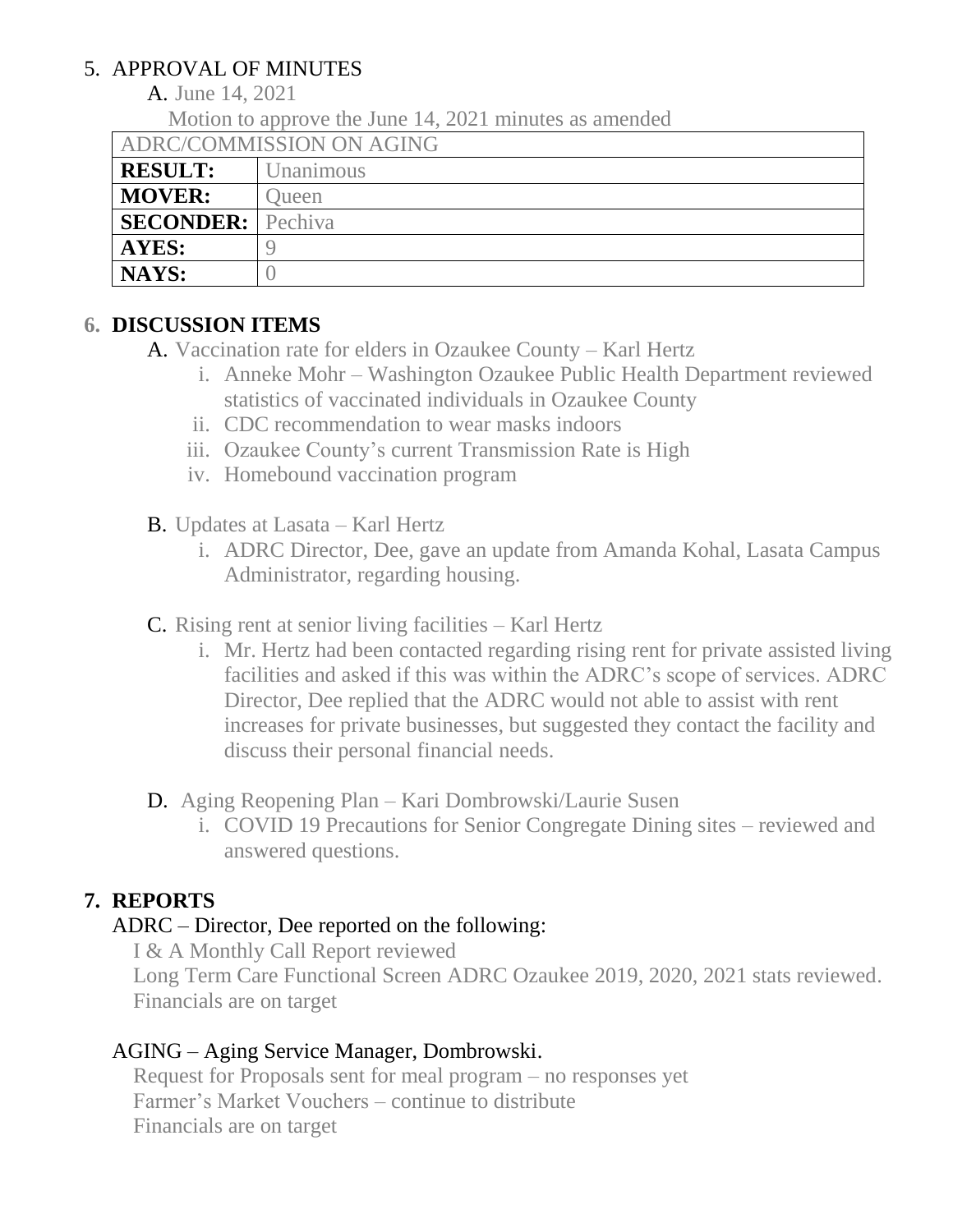# 5. APPROVAL OF MINUTES

A. June 14, 2021

Motion to approve the June 14, 2021 minutes as amended

ADRC/COMMISSION ON AGING

| 11 THREE FIRST FILM OF THE FILM OF THE TELL TO |           |
|------------------------------------------------|-----------|
| <b>RESULT:</b>                                 | Jnanimous |
| <b>MOVER:</b>                                  | Jueen     |
| <b>SECONDER:</b> Pechiva                       |           |
| AYES:                                          |           |
| NAYS:                                          |           |

# **6. DISCUSSION ITEMS**

- A. Vaccination rate for elders in Ozaukee County Karl Hertz
	- i. Anneke Mohr Washington Ozaukee Public Health Department reviewed statistics of vaccinated individuals in Ozaukee County
	- ii. CDC recommendation to wear masks indoors
	- iii. Ozaukee County's current Transmission Rate is High
	- iv. Homebound vaccination program
- B. Updates at Lasata Karl Hertz
	- i. ADRC Director, Dee, gave an update from Amanda Kohal, Lasata Campus Administrator, regarding housing.
- C. Rising rent at senior living facilities Karl Hertz
	- i. Mr. Hertz had been contacted regarding rising rent for private assisted living facilities and asked if this was within the ADRC's scope of services. ADRC Director, Dee replied that the ADRC would not able to assist with rent increases for private businesses, but suggested they contact the facility and discuss their personal financial needs.
- D. Aging Reopening Plan Kari Dombrowski/Laurie Susen
	- i. COVID 19 Precautions for Senior Congregate Dining sites reviewed and answered questions.

# **7. REPORTS**

# ADRC – Director, Dee reported on the following:

I & A Monthly Call Report reviewed

Long Term Care Functional Screen ADRC Ozaukee 2019, 2020, 2021 stats reviewed. Financials are on target

# AGING – Aging Service Manager, Dombrowski.

Request for Proposals sent for meal program – no responses yet Farmer's Market Vouchers – continue to distribute Financials are on target